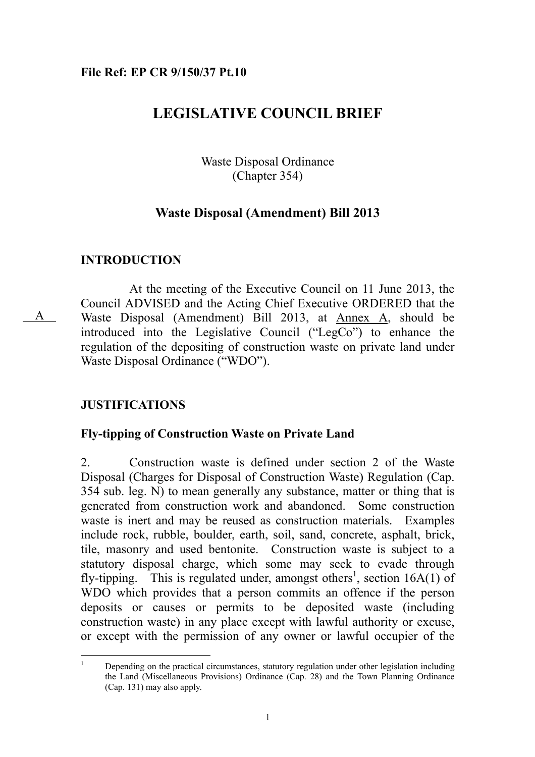### **File Ref: EP CR 9/150/37 Pt.10**

# **LEGISLATIVE COUNCIL BRIEF**

Waste Disposal Ordinance (Chapter 354)

### **Waste Disposal (Amendment) Bill 2013**

### **INTRODUCTION**

A

 At the meeting of the Executive Council on 11 June 2013, the Council ADVISED and the Acting Chief Executive ORDERED that the Waste Disposal (Amendment) Bill 2013, at Annex A, should be introduced into the Legislative Council ("LegCo") to enhance the regulation of the depositing of construction waste on private land under Waste Disposal Ordinance ("WDO").

### **JUSTIFICATIONS**

### **Fly-tipping of Construction Waste on Private Land**

2. Construction waste is defined under section 2 of the Waste Disposal (Charges for Disposal of Construction Waste) Regulation (Cap. 354 sub. leg. N) to mean generally any substance, matter or thing that is generated from construction work and abandoned. Some construction waste is inert and may be reused as construction materials. Examples include rock, rubble, boulder, earth, soil, sand, concrete, asphalt, brick, tile, masonry and used bentonite. Construction waste is subject to a statutory disposal charge, which some may seek to evade through fly-tipping. This is regulated under, amongst others<sup>1</sup>, section  $16A(1)$  of WDO which provides that a person commits an offence if the person deposits or causes or permits to be deposited waste (including construction waste) in any place except with lawful authority or excuse, or except with the permission of any owner or lawful occupier of the

 $\frac{1}{1}$  Depending on the practical circumstances, statutory regulation under other legislation including the Land (Miscellaneous Provisions) Ordinance (Cap. 28) and the Town Planning Ordinance (Cap. 131) may also apply.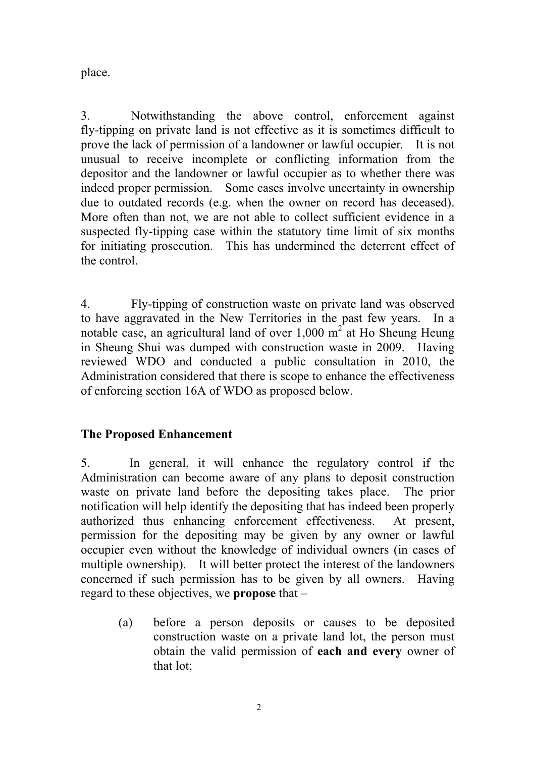place.

3. Notwithstanding the above control, enforcement against fly-tipping on private land is not effective as it is sometimes difficult to prove the lack of permission of a landowner or lawful occupier. It is not unusual to receive incomplete or conflicting information from the depositor and the landowner or lawful occupier as to whether there was indeed proper permission. Some cases involve uncertainty in ownership due to outdated records (e.g. when the owner on record has deceased). More often than not, we are not able to collect sufficient evidence in a suspected fly-tipping case within the statutory time limit of six months for initiating prosecution. This has undermined the deterrent effect of the control.

4. Fly-tipping of construction waste on private land was observed to have aggravated in the New Territories in the past few years. In a notable case, an agricultural land of over  $1,000 \text{ m}^2$  at Ho Sheung Heung in Sheung Shui was dumped with construction waste in 2009. Having reviewed WDO and conducted a public consultation in 2010, the Administration considered that there is scope to enhance the effectiveness of enforcing section 16A of WDO as proposed below.

# **The Proposed Enhancement**

5. In general, it will enhance the regulatory control if the Administration can become aware of any plans to deposit construction waste on private land before the depositing takes place. The prior notification will help identify the depositing that has indeed been properly authorized thus enhancing enforcement effectiveness. At present, permission for the depositing may be given by any owner or lawful occupier even without the knowledge of individual owners (in cases of multiple ownership). It will better protect the interest of the landowners concerned if such permission has to be given by all owners. Having regard to these objectives, we **propose** that –

(a) before a person deposits or causes to be deposited construction waste on a private land lot, the person must obtain the valid permission of **each and every** owner of that lot;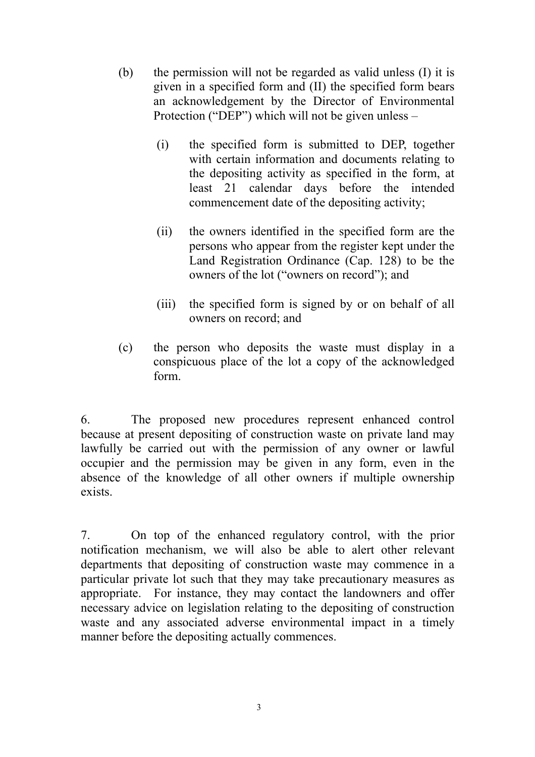- (b) the permission will not be regarded as valid unless (I) it is given in a specified form and (II) the specified form bears an acknowledgement by the Director of Environmental Protection ("DEP") which will not be given unless –
	- (i) the specified form is submitted to DEP, together with certain information and documents relating to the depositing activity as specified in the form, at least 21 calendar days before the intended commencement date of the depositing activity;
	- (ii) the owners identified in the specified form are the persons who appear from the register kept under the Land Registration Ordinance (Cap. 128) to be the owners of the lot ("owners on record"); and
	- (iii) the specified form is signed by or on behalf of all owners on record; and
- (c) the person who deposits the waste must display in a conspicuous place of the lot a copy of the acknowledged form.

6. The proposed new procedures represent enhanced control because at present depositing of construction waste on private land may lawfully be carried out with the permission of any owner or lawful occupier and the permission may be given in any form, even in the absence of the knowledge of all other owners if multiple ownership exists.

7. On top of the enhanced regulatory control, with the prior notification mechanism, we will also be able to alert other relevant departments that depositing of construction waste may commence in a particular private lot such that they may take precautionary measures as appropriate. For instance, they may contact the landowners and offer necessary advice on legislation relating to the depositing of construction waste and any associated adverse environmental impact in a timely manner before the depositing actually commences.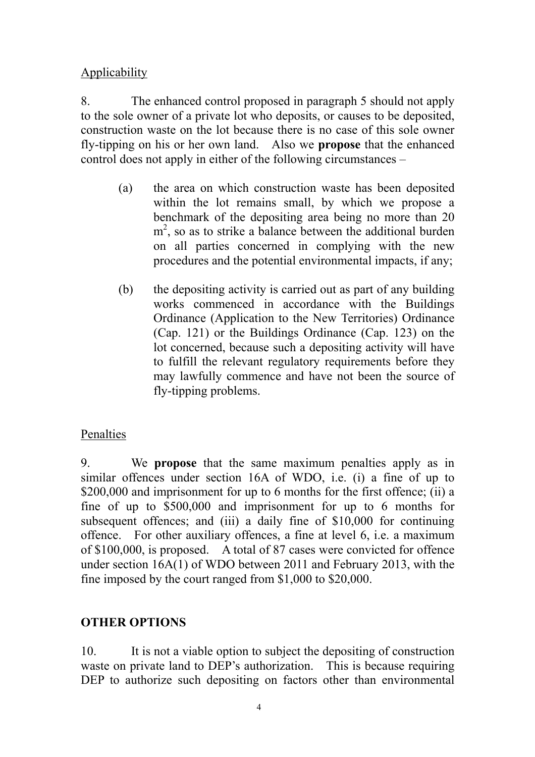Applicability

8. The enhanced control proposed in paragraph 5 should not apply to the sole owner of a private lot who deposits, or causes to be deposited, construction waste on the lot because there is no case of this sole owner fly-tipping on his or her own land. Also we **propose** that the enhanced control does not apply in either of the following circumstances –

- (a) the area on which construction waste has been deposited within the lot remains small, by which we propose a benchmark of the depositing area being no more than 20 m<sup>2</sup>, so as to strike a balance between the additional burden on all parties concerned in complying with the new procedures and the potential environmental impacts, if any;
- (b) the depositing activity is carried out as part of any building works commenced in accordance with the Buildings Ordinance (Application to the New Territories) Ordinance (Cap. 121) or the Buildings Ordinance (Cap. 123) on the lot concerned, because such a depositing activity will have to fulfill the relevant regulatory requirements before they may lawfully commence and have not been the source of fly-tipping problems.

# Penalties

9. We **propose** that the same maximum penalties apply as in similar offences under section 16A of WDO, i.e. (i) a fine of up to \$200,000 and imprisonment for up to 6 months for the first offence; (ii) a fine of up to \$500,000 and imprisonment for up to 6 months for subsequent offences; and (iii) a daily fine of \$10,000 for continuing offence. For other auxiliary offences, a fine at level 6, i.e. a maximum of \$100,000, is proposed. A total of 87 cases were convicted for offence under section 16A(1) of WDO between 2011 and February 2013, with the fine imposed by the court ranged from \$1,000 to \$20,000.

# **OTHER OPTIONS**

10. It is not a viable option to subject the depositing of construction waste on private land to DEP's authorization. This is because requiring DEP to authorize such depositing on factors other than environmental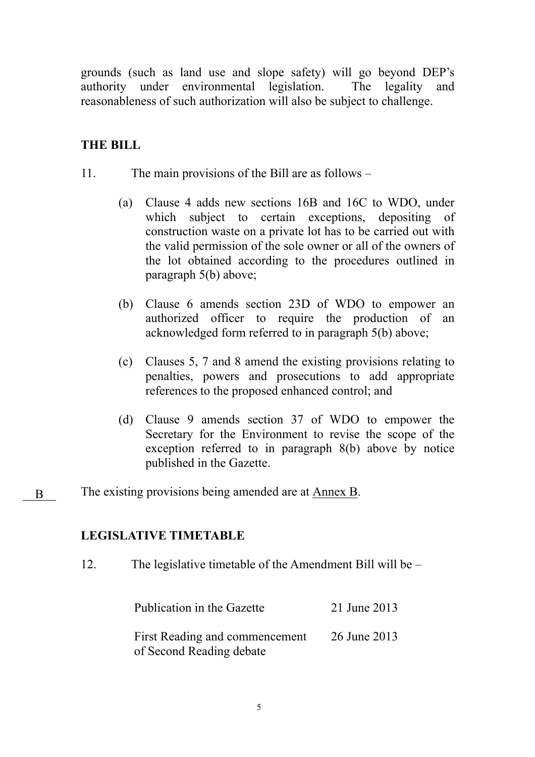grounds (such as land use and slope safety) will go beyond DEP's authority under environmental legislation. The legality and reasonableness of such authorization will also be subject to challenge.

# **THE BILL**

- 11. The main provisions of the Bill are as follows
	- (a) Clause 4 adds new sections 16B and 16C to WDO, under which subject to certain exceptions, depositing of construction waste on a private lot has to be carried out with the valid permission of the sole owner or all of the owners of the lot obtained according to the procedures outlined in paragraph 5(b) above;
	- (b) Clause 6 amends section 23D of WDO to empower an authorized officer to require the production of an acknowledged form referred to in paragraph 5(b) above;
	- (c) Clauses 5, 7 and 8 amend the existing provisions relating to penalties, powers and prosecutions to add appropriate references to the proposed enhanced control; and
	- (d) Clause 9 amends section 37 of WDO to empower the Secretary for the Environment to revise the scope of the exception referred to in paragraph 8(b) above by notice published in the Gazette.
- The existing provisions being amended are at Annex B. B

### **LEGISLATIVE TIMETABLE**

12. The legislative timetable of the Amendment Bill will be –

| Publication in the Gazette     | 21 June 2013 |
|--------------------------------|--------------|
| First Reading and commencement | 26 June 2013 |
| of Second Reading debate       |              |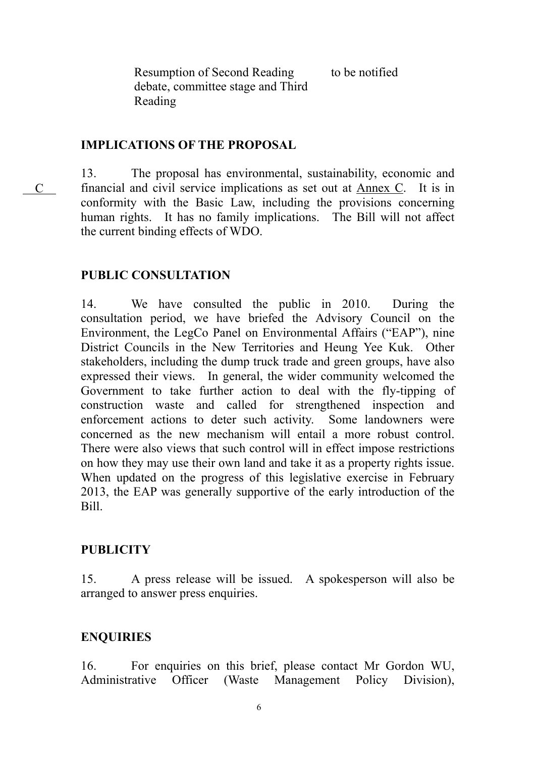to be notified

Resumption of Second Reading debate, committee stage and Third Reading

## **IMPLICATIONS OF THE PROPOSAL**

13. The proposal has environmental, sustainability, economic and financial and civil service implications as set out at Annex C. It is in conformity with the Basic Law, including the provisions concerning human rights. It has no family implications. The Bill will not affect the current binding effects of WDO.

# **PUBLIC CONSULTATION**

C

14. We have consulted the public in 2010. During the consultation period, we have briefed the Advisory Council on the Environment, the LegCo Panel on Environmental Affairs ("EAP"), nine District Councils in the New Territories and Heung Yee Kuk. Other stakeholders, including the dump truck trade and green groups, have also expressed their views. In general, the wider community welcomed the Government to take further action to deal with the fly-tipping of construction waste and called for strengthened inspection and enforcement actions to deter such activity. Some landowners were concerned as the new mechanism will entail a more robust control. There were also views that such control will in effect impose restrictions on how they may use their own land and take it as a property rights issue. When updated on the progress of this legislative exercise in February 2013, the EAP was generally supportive of the early introduction of the Bill.

# **PUBLICITY**

15. A press release will be issued. A spokesperson will also be arranged to answer press enquiries.

### **ENQUIRIES**

16. For enquiries on this brief, please contact Mr Gordon WU, Administrative Officer (Waste Management Policy Division),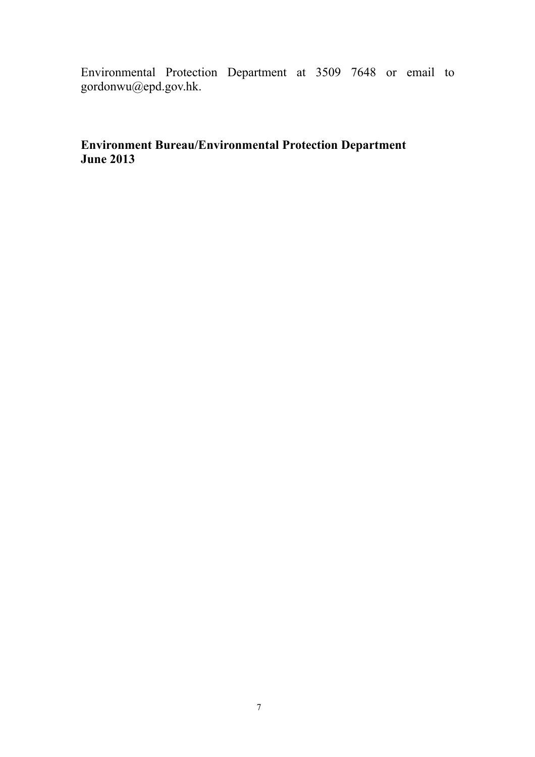Environmental Protection Department at 3509 7648 or email to gordonwu@epd.gov.hk.

# **Environment Bureau/Environmental Protection Department June 2013**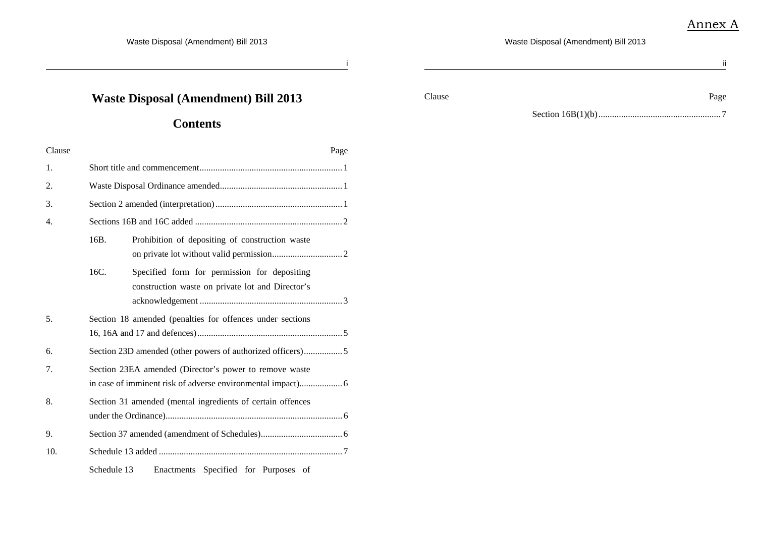ii

Waste Disposal (Amendment) Bill 2013

i $\,$ i

# **Waste Disposal (Amendment) Bill 2013**

## **Contents**

| Clause | Page                                                                                                     |  |  |  |  |  |
|--------|----------------------------------------------------------------------------------------------------------|--|--|--|--|--|
| 1.     |                                                                                                          |  |  |  |  |  |
| 2.     |                                                                                                          |  |  |  |  |  |
| 3.     |                                                                                                          |  |  |  |  |  |
| 4.     |                                                                                                          |  |  |  |  |  |
|        | 16B.<br>Prohibition of depositing of construction waste                                                  |  |  |  |  |  |
|        | 16C.<br>Specified form for permission for depositing<br>construction waste on private lot and Director's |  |  |  |  |  |
| 5.     | Section 18 amended (penalties for offences under sections                                                |  |  |  |  |  |
| 6.     | Section 23D amended (other powers of authorized officers)5                                               |  |  |  |  |  |
| 7.     | Section 23EA amended (Director's power to remove waste                                                   |  |  |  |  |  |
| 8.     | Section 31 amended (mental ingredients of certain offences                                               |  |  |  |  |  |
| 9.     |                                                                                                          |  |  |  |  |  |
| 10.    |                                                                                                          |  |  |  |  |  |
|        | Schedule 13<br>Enactments Specified for Purposes of                                                      |  |  |  |  |  |

Clause Page Page Page 2014

Section 16B(1)(b)...................................................... 7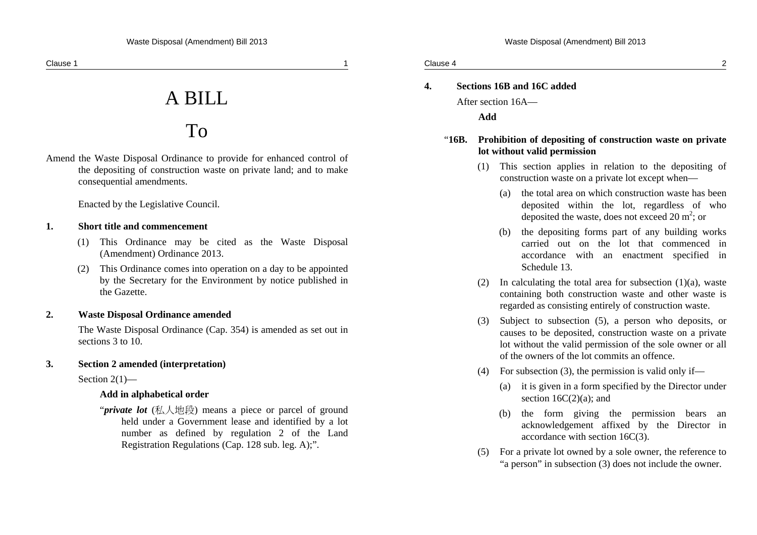# A BILL

# To

Amend the Waste Disposal Ordinance to provide for enhanced control of the depositing of construction waste on private land; and to make consequential amendments.

Enacted by the Legislative Council.

### **1. Short title and commencement**

- (1) This Ordinance may be cited as the Waste Disposal (Amendment) Ordinance 2013.
- (2) This Ordinance comes into operation on a day to be appointed by the Secretary for the Environment by notice published in the Gazette.

### **2. Waste Disposal Ordinance amended**

The Waste Disposal Ordinance (Cap. 354) is amended as set out in sections 3 to 10.

### **3. Section 2 amended (interpretation)**

Section  $2(1)$ —

### **Add in alphabetical order**

"*private lot* (私人地段) means a piece or parcel of ground held under a Government lease and identified by a lot number as defined by regulation 2 of the Land Registration Regulations (Cap. 128 sub. leg. A);".

| Clause 4 |  |  |
|----------|--|--|
|          |  |  |
|          |  |  |

### **4. Sections 16B and 16C added**

After section 16A—

**Add** 

### "**16B. Prohibition of depositing of construction waste on private lot without valid permission**

- (1) This section applies in relation to the depositing of construction waste on a private lot except when—
	- (a) the total area on which construction waste has been deposited within the lot, regardless of who deposited the waste, does not exceed  $20 \text{ m}^2$ ; or
	- (b) the depositing forms part of any building works carried out on the lot that commenced in accordance with an enactment specified in Schedule 13.
- (2) In calculating the total area for subsection  $(1)(a)$ , waste containing both construction waste and other waste is regarded as consisting entirely of construction waste.
- (3) Subject to subsection (5), a person who deposits, or causes to be deposited, construction waste on a private lot without the valid permission of the sole owner or all of the owners of the lot commits an offence.
- (4) For subsection (3), the permission is valid only if—
	- (a) it is given in a form specified by the Director under section  $16C(2)(a)$ ; and
	- (b) the form giving the permission bears an acknowledgement affixed by the Director in accordance with section 16C(3).
- (5) For a private lot owned by a sole owner, the reference to "a person" in subsection (3) does not include the owner.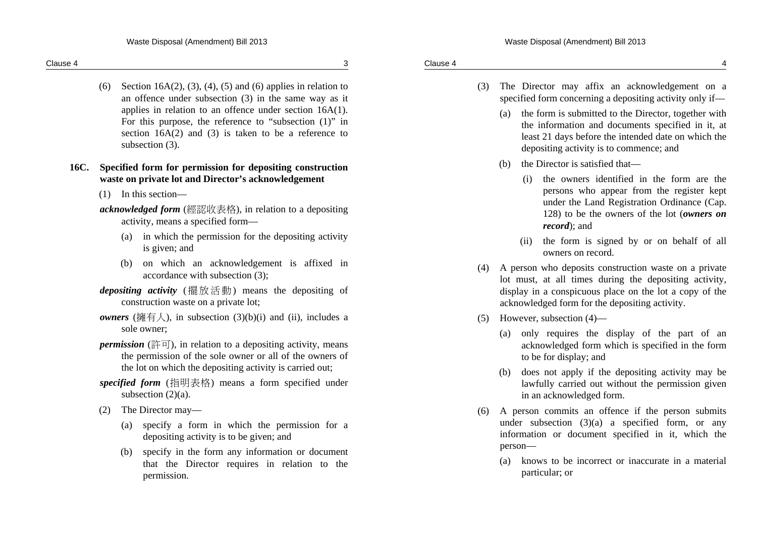(6) Section 16A(2), (3), (4), (5) and (6) applies in relation to an offence under subsection (3) in the same way as it applies in relation to an offence under section 16A(1). For this purpose, the reference to "subsection (1)" in section 16A(2) and (3) is taken to be a reference to subsection (3).

### **16C. Specified form for permission for depositing construction waste on private lot and Director's acknowledgement**

(1) In this section—

*acknowledged form* (經認收表格), in relation to a depositing activity, means a specified form—

- (a) in which the permission for the depositing activity is given; and
- (b) on which an acknowledgement is affixed in accordance with subsection (3);
- *depositing activity* (擺放活動) means the depositing of construction waste on a private lot;
- *owners* ( $\overline{m} \equiv \lambda$ ), in subsection (3)(b)(i) and (ii), includes a sole owner;
- *permission* (許可), in relation to a depositing activity, means the permission of the sole owner or all of the owners of the lot on which the depositing activity is carried out;
- *specified form* (指明表格) means a form specified under subsection  $(2)(a)$ .
- (2) The Director may—
	- (a) specify a form in which the permission for a depositing activity is to be given; and
	- (b) specify in the form any information or document that the Director requires in relation to the permission.
- (3) The Director may affix an acknowledgement on a specified form concerning a depositing activity only if—
	- (a) the form is submitted to the Director, together with the information and documents specified in it, at least 21 days before the intended date on which the depositing activity is to commence; and
	- (b) the Director is satisfied that—
		- (i) the owners identified in the form are the persons who appear from the register kept under the Land Registration Ordinance (Cap. 128) to be the owners of the lot (*owners on record*); and
		- (ii) the form is signed by or on behalf of all owners on record.
- (4) A person who deposits construction waste on a private lot must, at all times during the depositing activity, display in a conspicuous place on the lot a copy of the acknowledged form for the depositing activity.
- (5) However, subsection (4)—
	- (a) only requires the display of the part of an acknowledged form which is specified in the form to be for display; and
	- (b) does not apply if the depositing activity may be lawfully carried out without the permission given in an acknowledged form.
- (6) A person commits an offence if the person submits under subsection  $(3)(a)$  a specified form, or any information or document specified in it, which the person—
	- (a) knows to be incorrect or inaccurate in a material particular; or

Clause 4 4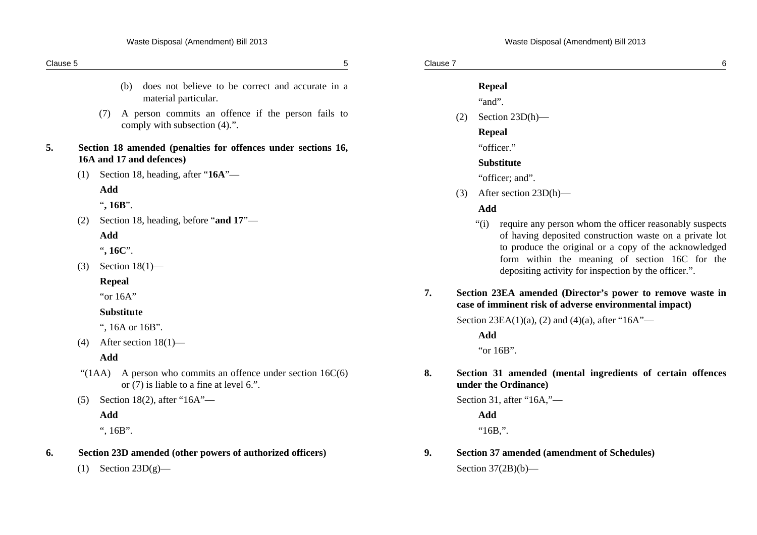| Clause 5 |                                                                                                           | 5  | Clause 7 | $\,6$                                                                                                                                                                                |
|----------|-----------------------------------------------------------------------------------------------------------|----|----------|--------------------------------------------------------------------------------------------------------------------------------------------------------------------------------------|
|          | does not believe to be correct and accurate in a<br>(b)<br>material particular.                           |    |          | <b>Repeal</b><br>"and".                                                                                                                                                              |
|          | A person commits an offence if the person fails to<br>(7)<br>comply with subsection (4).".                |    | (2)      | Section $23D(h)$ —<br><b>Repeal</b>                                                                                                                                                  |
| 5.       | Section 18 amended (penalties for offences under sections 16,<br>16A and 17 and defences)                 |    |          | "officer."<br><b>Substitute</b>                                                                                                                                                      |
|          | Section 18, heading, after "16A"—<br>(1)                                                                  |    |          | "officer; and".                                                                                                                                                                      |
|          | Add                                                                                                       |    | (3)      | After section 23D(h)—                                                                                                                                                                |
|          | ", $16B$ ".                                                                                               |    |          | Add                                                                                                                                                                                  |
|          | Section 18, heading, before "and 17"-<br>(2)<br>Add<br>", 16C".                                           |    |          | require any person whom the officer reasonably suspects<br>``(i)<br>of having deposited construction waste on a private lot<br>to produce the original or a copy of the acknowledged |
|          | Section $18(1)$ —<br>(3)                                                                                  |    |          | form within the meaning of section 16C for the<br>depositing activity for inspection by the officer.".                                                                               |
|          | <b>Repeal</b><br>"or 16A"                                                                                 | 7. |          | Section 23EA amended (Director's power to remove waste in<br>case of imminent risk of adverse environmental impact)                                                                  |
|          | Substitute                                                                                                |    |          | Section 23EA(1)(a), (2) and (4)(a), after "16A"—                                                                                                                                     |
|          | ", 16A or 16B".                                                                                           |    |          | Add                                                                                                                                                                                  |
|          | After section $18(1)$ —<br>(4)<br>Add                                                                     |    |          | "or 16B".                                                                                                                                                                            |
|          | "(1AA) A person who commits an offence under section $16C(6)$<br>or (7) is liable to a fine at level 6.". | 8. |          | Section 31 amended (mental ingredients of certain offences<br>under the Ordinance)                                                                                                   |
|          | Section 18(2), after " $16A$ "-<br>(5)                                                                    |    |          | Section 31, after "16A,"-                                                                                                                                                            |
|          | Add                                                                                                       |    |          | Add                                                                                                                                                                                  |
|          | ", $16B$ ".                                                                                               |    |          | " $16B$ "                                                                                                                                                                            |
| 6.       | Section 23D amended (other powers of authorized officers)                                                 | 9. |          | <b>Section 37 amended (amendment of Schedules)</b>                                                                                                                                   |
|          | Section $23D(g)$ —<br>(1)                                                                                 |    |          | Section $37(2B)(b)$ —                                                                                                                                                                |
|          |                                                                                                           |    |          |                                                                                                                                                                                      |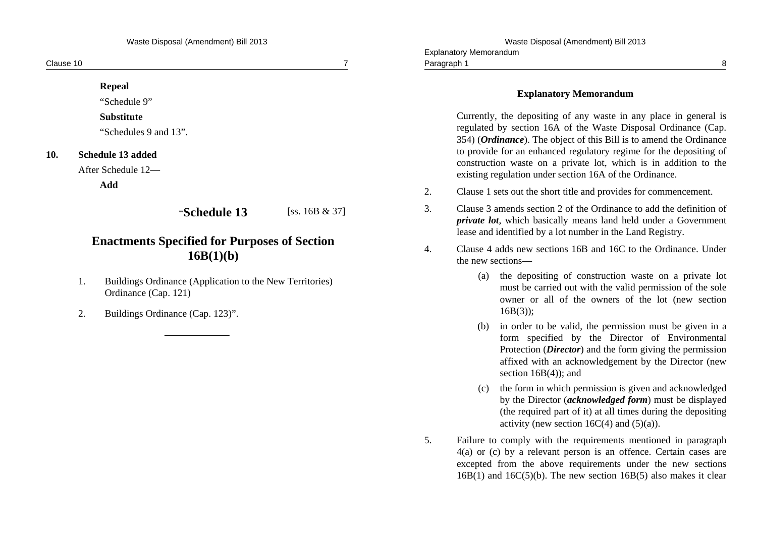Explanatory Memorandum

| Clause 10 |                                                                                       |                   |    | Paragraph 1                                                                                                                                                                                                                                                                                                                                                                                                              |
|-----------|---------------------------------------------------------------------------------------|-------------------|----|--------------------------------------------------------------------------------------------------------------------------------------------------------------------------------------------------------------------------------------------------------------------------------------------------------------------------------------------------------------------------------------------------------------------------|
|           | <b>Repeal</b><br>"Schedule 9"                                                         |                   |    | <b>Explanatory Memorandum</b>                                                                                                                                                                                                                                                                                                                                                                                            |
| 10.       | <b>Substitute</b><br>"Schedules 9 and 13".<br>Schedule 13 added<br>After Schedule 12— |                   |    | Currently, the depositing of any waste in any place in general is<br>regulated by section 16A of the Waste Disposal Ordinance (Cap.<br>354) ( <i>Ordinance</i> ). The object of this Bill is to amend the Ordinance<br>to provide for an enhanced regulatory regime for the depositing of<br>construction waste on a private lot, which is in addition to the<br>existing regulation under section 16A of the Ordinance. |
|           | Add                                                                                   |                   | 2. | Clause 1 sets out the short title and provides for commencement.                                                                                                                                                                                                                                                                                                                                                         |
|           | "Schedule 13                                                                          | [ss. $16B & 37$ ] | 3. | Clause 3 amends section 2 of the Ordinance to add the definition of<br><i>private lot</i> , which basically means land held under a Government<br>lease and identified by a lot number in the Land Registry.                                                                                                                                                                                                             |
|           | <b>Enactments Specified for Purposes of Section</b><br>16B(1)(b)                      |                   | 4. | Clause 4 adds new sections 16B and 16C to the Ordinance. Under<br>the new sections—                                                                                                                                                                                                                                                                                                                                      |
|           |                                                                                       |                   |    | (a) the depositing of construction waste on a private lot                                                                                                                                                                                                                                                                                                                                                                |

- 1. Buildings Ordinance (Application to the New Territories) Ordinance (Cap. 121)
- 2. Buildings Ordinance (Cap. 123)".

- 2. Clause 1 sets out the short title and provides for commencement.
- 3. Clause 3 amends section 2 of the Ordinance to add the definition of ion of *private lot*, which basically means land held under a Government
- 4. Clause 4 adds new sections 16B and 16C to the Ordinance. Under Under
	- (a) the depositing of construction waste on a private lot must be carried out with the valid permission of the sole owner or all of the owners of the lot (new section 16B(3));
	- (b) in order to be valid, the permission must be given in a form specified by the Director of Environmental Protection (*Director*) and the form giving the permission affixed with an acknowledgement by the Director (new section  $16B(4)$ ; and
	- (c) the form in which permission is given and acknowledged by the Director (*acknowledged form*) must be displayed (the required part of it) at all times during the depositing activity (new section  $16C(4)$  and  $(5)(a)$ ).
- 5. Failure to comply with the requirements mentioned in paragraph 4(a) or (c) by a relevant person is an offence. Certain cases are excepted from the above requirements under the new sections  $16B(1)$  and  $16C(5)(b)$ . The new section  $16B(5)$  also makes it clear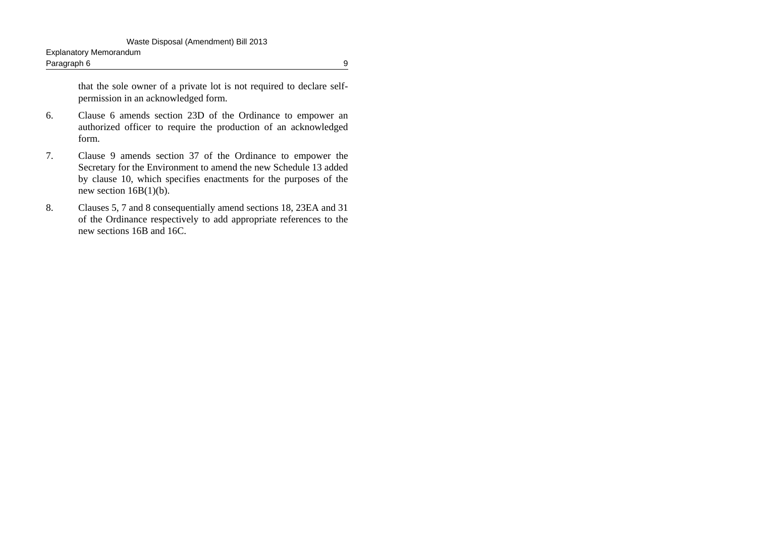that the sole owner of a private lot is not required to declare selfpermission in an acknowledged form.

- 6. Clause 6 amends section 23D of the Ordinance to empower an authorized officer to require the production of an acknowledged form.
- 7. Clause 9 amends section 37 of the Ordinance to empower the Secretary for the Environment to amend the new Schedule 13 added by clause 10, which specifies enactments for the purposes of the new section  $16B(1)(b)$ .
- 8. Clauses 5, 7 and 8 consequentially amend sections 18, 23EA and 31 of the Ordinance respectively to add appropriate references to the new sections 16B and 16C.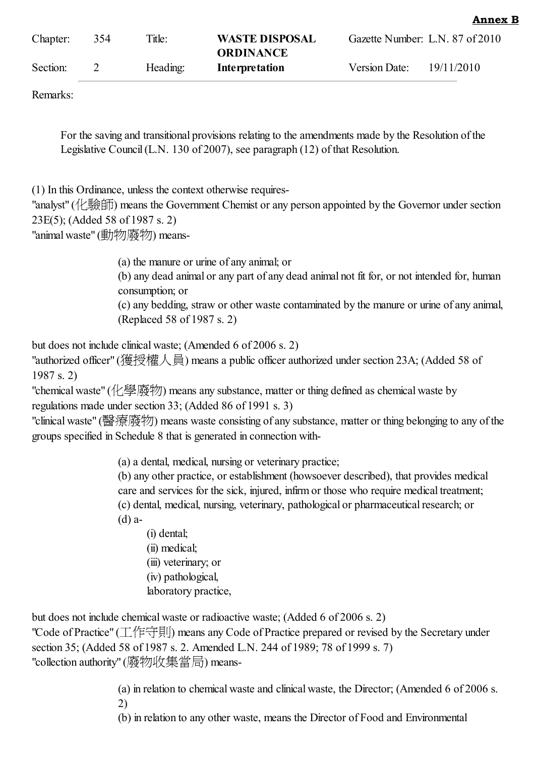| Anno<br>ź |  |
|-----------|--|
|           |  |

| Chapter: | 354 | Title:   | <b>WASTE DISPOSAL</b><br><b>ORDINANCE</b> |                      | Gazette Number: L.N. 87 of 2010 |
|----------|-----|----------|-------------------------------------------|----------------------|---------------------------------|
| Section: |     | Heading: | Interpretation                            | <b>Version Date:</b> | 19/11/2010                      |

Remarks:

For the saving and transitional provisions relating to the amendments made by the Resolution of the Legislative Council(L.N. 130 of 2007), see paragraph (12) of that Resolution.

(1) In this Ordinance, unless the context otherwise requires-

"analyst" (化驗師) means the Government Chemist or any person appointed by the Governor under section 23E(5); (Added 58 of 1987 s. 2)

"animal waste" (動物廢物) means-

(a) the manure or urine of any animal; or (b) any dead animal or any part of any dead animal not fit for, or not intended for, human consumption; or (c) any bedding, straw or other waste contaminated by the manure or urine of any animal,

(Replaced 58 of 1987 s. 2)

but does not include clinical waste; (Amended 6 of 2006 s. 2)

"authorized officer" (獲授權人員) means a public officer authorized under section 23A; (Added 58 of 1987 s. 2)

"chemical waste" (化學廢物) means any substance, matter or thing defined as chemical waste by regulations made under section 33; (Added 86 of 1991 s. 3)

"clinical waste" (醫療廢物) means waste consisting of any substance, matter or thing belonging to any of the groups specified in Schedule 8 that is generated in connection with-

(a) a dental, medical, nursing or veterinary practice;

(b) any other practice, or establishment (howsoever described), that provides medical care and services for the sick, injured, infirm or those who require medical treatment; (c) dental, medical, nursing, veterinary, pathological or pharmaceutical research; or (d) a-

(i) dental;

(ii) medical; (iii) veterinary; or (iv) pathological, laboratory practice,

but does not include chemical waste or radioactive waste; (Added 6 of 2006 s. 2) "Code of Practice" (工作守則) means any Code of Practice prepared or revised by the Secretary under section 35; (Added 58 of 1987 s. 2. Amended L.N. 244 of 1989; 78 of 1999 s. 7) "collection authority" (廢物收集當局) means-

> (a) in relation to chemical waste and clinical waste, the Director; (Amended 6 of 2006 s. 2)

(b) in relation to any other waste, means the Director of Food and Environmental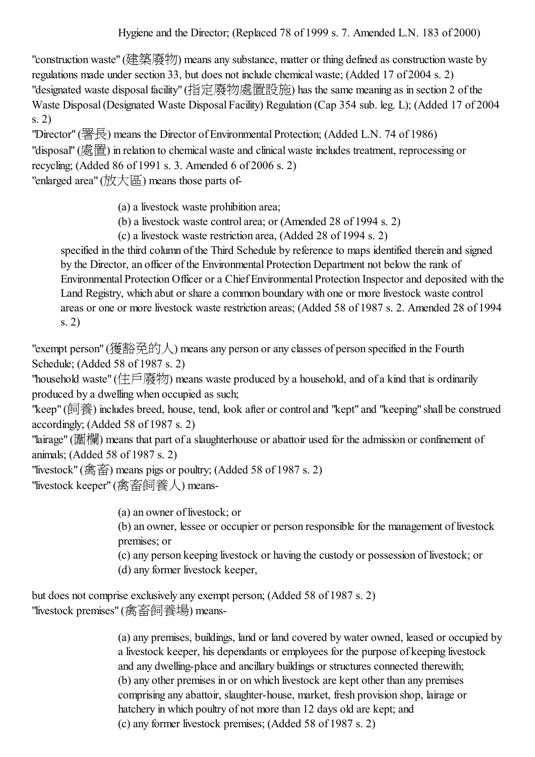"construction waste" (建築廢物) means any substance, matter or thing defined as construction waste by regulations made under section 33, but does not include chemical waste; (Added 17 of 2004 s. 2) "designated waste disposal facility" (指定廢物處置設施) has the same meaning as in section 2 of the Waste Disposal(Designated Waste Disposal Facility) Regulation (Cap 354 sub. leg. L); (Added 17 of 2004 s. 2)

"Director" (署長) means the Director of Environmental Protection; (Added L.N. 74 of 1986) "disposal" (處置) in relation to chemical waste and clinical waste includes treatment, reprocessing or recycling; (Added 86 of 1991 s. 3. Amended 6 of 2006 s. 2) "enlarged area" (放大區) means those parts of-

(a) a livestock waste prohibition area;

(b) a livestock waste control area; or (Amended 28 of 1994 s. 2)

(c) a livestock waste restriction area, (Added 28 of 1994 s. 2)

specified in the third column of the Third Schedule by reference to maps identified therein and signed by the Director, an officer of the Environmental Protection Department not below the rank of Environmental Protection Officer or a Chief Environmental Protection Inspector and deposited with the Land Registry, which abut or share a common boundary with one or more livestock waste control areas or one or more livestock waste restriction areas; (Added 58 of 1987 s. 2. Amended 28 of 1994 s. 2)

"exempt person" (獲豁免的人) means any person or any classes of person specified in the Fourth Schedule; (Added 58 of 1987 s. 2)

"household waste" (住戶廢物) means waste produced by a household, and of a kind that is ordinarily produced by a dwelling when occupied as such;

"keep" (飼養) includes breed, house, tend, look after or control and "kept" and "keeping" shall be construed accordingly; (Added 58 of 1987 s. 2)

"lairage" (圍欄) means that part of a slaughterhouse or abattoir used for the admission or confinement of animals; (Added 58 of 1987 s. 2)

"livestock" (禽畜) means pigs or poultry; (Added 58 of 1987 s. 2) "livestock keeper" (禽畜飼養人) means-

> (a) an owner of livestock; or (b) an owner, lessee or occupier or person responsible for the management of livestock premises; or (c) any person keeping livestock or having the custody or possession of livestock; or (d) any former livestock keeper,

but does not comprise exclusively any exempt person; (Added 58 of 1987 s. 2) "livestock premises" (禽畜飼養場) means-

> (a) any premises, buildings, land or land covered by water owned, leased or occupied by a livestock keeper, his dependants or employees for the purpose of keeping livestock and any dwelling-place and ancillary buildings or structures connected therewith; (b) any other premises in or on which livestock are kept other than any premises comprising any abattoir, slaughter-house, market, fresh provision shop, lairage or hatchery in which poultry of not more than 12 days old are kept; and (c) any former livestock premises; (Added 58 of 1987 s. 2)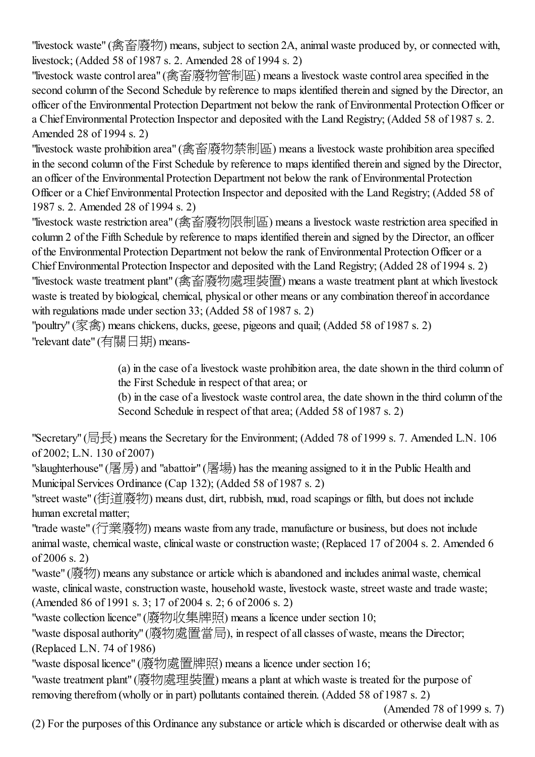"livestock waste" (禽畜廢物) means, subject to section 2A, animal waste produced by, or connected with, livestock; (Added 58 of 1987 s. 2. Amended 28 of 1994 s. 2)

"livestock waste control area" (禽畜廢物管制區) means a livestock waste control area specified in the second column of the Second Schedule by reference to maps identified therein and signed by the Director, an officer of the Environmental Protection Department not below the rank of Environmental Protection Officer or a Chief Environmental Protection Inspector and deposited with the Land Registry; (Added 58 of 1987 s. 2. Amended 28 of 1994 s. 2)

"livestock waste prohibition area" (禽畜廢物禁制區) means a livestock waste prohibition area specified in the second column of the First Schedule by reference to maps identified therein and signed by the Director, an officer of the Environmental Protection Department not below the rank of Environmental Protection Officer or a Chief Environmental Protection Inspector and deposited with the Land Registry; (Added 58 of 1987 s. 2. Amended 28 of 1994 s. 2)

"livestock waste restriction area" (禽畜廢物限制區) means a livestock waste restriction area specified in column 2 of the Fifth Schedule by reference to maps identified therein and signed by the Director, an officer of the Environmental Protection Department not below the rank of Environmental Protection Officer or a Chief Environmental Protection Inspector and deposited with the Land Registry; (Added 28 of 1994 s. 2) "livestock waste treatment plant" (禽畜廢物處理裝置) means a waste treatment plant at which livestock waste is treated by biological, chemical, physical or other means or any combination thereof in accordance with regulations made under section 33; (Added 58 of 1987 s. 2)

"poultry" (家禽) means chickens, ducks, geese, pigeons and quail; (Added 58 of 1987 s. 2) "relevant date" (有關日期) means-

> (a) in the case of a livestock waste prohibition area, the date shown in the third column of the First Schedule in respect of that area; or

> (b) in the case of a livestock waste control area, the date shown in the third column of the Second Schedule in respect of that area; (Added 58 of 1987 s. 2)

"Secretary" (局長) means the Secretary for the Environment; (Added 78 of 1999 s. 7. Amended L.N. 106 of 2002; L.N. 130 of 2007)

"slaughterhouse" (屠房) and "abattoir" (屠場) has the meaning assigned to it in the Public Health and Municipal Services Ordinance (Cap 132); (Added 58 of 1987 s. 2)

"street waste" (街道廢物) means dust, dirt, rubbish, mud, road scapings or filth, but does not include human excretal matter;

"trade waste" (行業廢物) means waste from any trade, manufacture or business, but does not include animal waste, chemical waste, clinical waste or construction waste; (Replaced 17 of 2004 s. 2. Amended 6 of 2006 s. 2)

"waste" (廢物) means any substance or article which is abandoned and includes animal waste, chemical waste, clinical waste, construction waste, household waste, livestock waste, street waste and trade waste; (Amended 86 of 1991 s. 3; 17 of 2004 s. 2; 6 of 2006 s. 2)

"waste collection licence" (廢物收集牌照) means a licence under section 10;

"waste disposal authority" (廢物處置當局), in respect of all classes of waste, means the Director; (Replaced L.N. 74 of 1986)

"waste disposal licence" (廢物處置牌照) means a licence under section 16;

"waste treatment plant" (廢物處理裝置) means a plant at which waste is treated for the purpose of removing therefrom (wholly or in part) pollutants contained therein. (Added 58 of 1987 s. 2)

(Amended 78 of 1999 s. 7)

(2) For the purposes of this Ordinance any substance or article which is discarded or otherwise dealt with as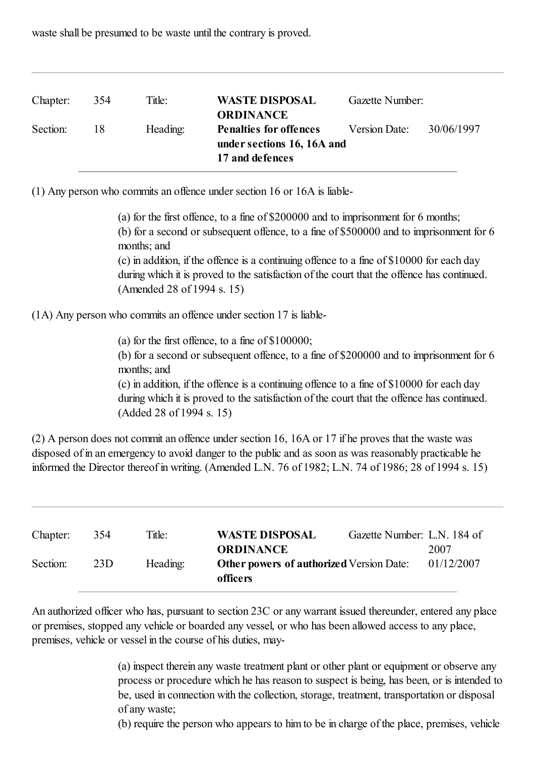waste shall be presumed to be waste until the contrary is proved.

| Chapter: | 354 | Title:   | <b>WASTE DISPOSAL</b><br><b>ORDINANCE</b>                                      | Gazette Number: |            |
|----------|-----|----------|--------------------------------------------------------------------------------|-----------------|------------|
| Section: | -18 | Heading: | <b>Penalties for offences</b><br>under sections 16, 16A and<br>17 and defences | Version Date:   | 30/06/1997 |

(1) Any person who commits an offence under section 16 or 16A is liable-

(a) for the first offence, to a fine of \$200000 and to imprisonment for 6 months; (b) for a second or subsequent offence, to a fine of \$500000 and to imprisonment for 6 months; and (c) in addition, if the offence is a continuing offence to a fine of \$10000 for each day during which it is proved to the satisfaction of the court that the offence has continued. (Amended 28 of 1994 s. 15)

(1A) Any person who commits an offence under section 17 is liable-

(a) for the first offence, to a fine of \$100000; (b) for a second or subsequent offence, to a fine of \$200000 and to imprisonment for 6 months; and (c) in addition, if the offence is a continuing offence to a fine of \$10000 for each day during which it is proved to the satisfaction of the court that the offence has continued. (Added 28 of 1994 s. 15)

(2) A person does not commit an offence under section 16, 16A or 17 if he proves that the waste was disposed of in an emergency to avoid danger to the public and as soon as was reasonably practicable he informed the Director thereof in writing. (Amended L.N. 76 of 1982; L.N. 74 of 1986; 28 of 1994 s. 15)

| Chapter: | 354 | Title:   | <b>WASTE DISPOSAL</b>                                                           | Gazette Number: L.N. 184 of |                    |
|----------|-----|----------|---------------------------------------------------------------------------------|-----------------------------|--------------------|
| Section: | 23D | Heading: | <b>ORDINANCE</b><br><b>Other powers of authorized Version Date:</b><br>officers |                             | 2007<br>01/12/2007 |

An authorized officer who has, pursuant to section 23C or any warrant issued thereunder, entered any place or premises, stopped any vehicle or boarded any vessel, or who has been allowed access to any place, premises, vehicle or vessel in the course of his duties, may-

> (a) inspect therein any waste treatment plant or other plant or equipment or observe any process or procedure which he has reason to suspect is being, has been, or is intended to be, used in connection with the collection, storage, treatment, transportation or disposal of any waste;

> (b) require the person who appears to him to be in charge of the place, premises, vehicle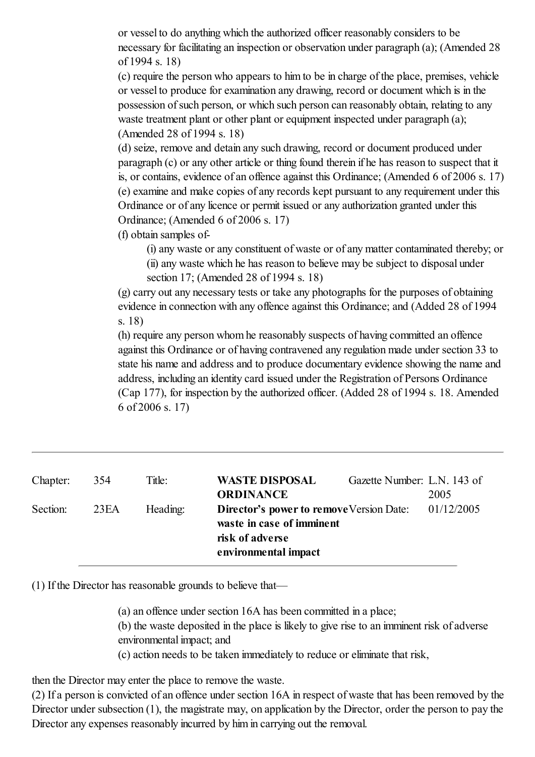or vessel to do anything which the authorized officer reasonably considers to be necessary for facilitating an inspection or observation under paragraph (a); (Amended 28 of 1994 s. 18)

(c) require the person who appears to him to be in charge of the place, premises, vehicle or vessel to produce for examination any drawing, record or document which is in the possession ofsuch person, or which such person can reasonably obtain, relating to any waste treatment plant or other plant or equipment inspected under paragraph (a); (Amended 28 of 1994 s. 18)

(d) seize, remove and detain any such drawing, record or document produced under paragraph (c) or any other article or thing found therein if he has reason to suspect that it is, or contains, evidence of an offence against this Ordinance; (Amended 6 of 2006 s. 17) (e) examine and make copies of any records kept pursuant to any requirement under this Ordinance or of any licence or permit issued or any authorization granted under this Ordinance; (Amended 6 of 2006 s. 17)

(f) obtain samples of-

(i) any waste or any constituent of waste or of any matter contaminated thereby; or (ii) any waste which he has reason to believe may be subject to disposal under section 17; (Amended 28 of 1994 s. 18)

(g) carry out any necessary tests or take any photographs for the purposes of obtaining evidence in connection with any offence against this Ordinance; and (Added 28 of 1994 s. 18)

(h) require any person whom he reasonably suspects of having committed an offence against this Ordinance or of having contravened any regulation made under section 33 to state his name and address and to produce documentary evidence showing the name and address, including an identity card issued under the Registration of Persons Ordinance (Cap 177), for inspection by the authorized officer. (Added 28 of 1994 s. 18. Amended 6 of 2006 s. 17)

| Chapter: | 354  | Title:   | <b>WASTE DISPOSAL</b><br>Gazette Number: L.N. 143 of |            |
|----------|------|----------|------------------------------------------------------|------------|
|          |      |          | <b>ORDINANCE</b>                                     | 2005       |
| Section: | 23EA | Heading: | <b>Director's power to remove Version Date:</b>      | 01/12/2005 |
|          |      |          | waste in case of imminent                            |            |
|          |      |          | risk of adverse                                      |            |
|          |      |          | environmental impact                                 |            |

(1) If the Director has reasonable grounds to believe that—

(a) an offence under section 16A has been committed in a place;

(b) the waste deposited in the place is likely to give rise to an imminent risk of adverse environmental impact; and

(c) action needs to be taken immediately to reduce or eliminate that risk,

then the Director may enter the place to remove the waste.

(2) If a person is convicted of an offence under section 16A in respect of waste that has been removed by the Director under subsection (1), the magistrate may, on application by the Director, order the person to pay the Director any expenses reasonably incurred by him in carrying out the removal.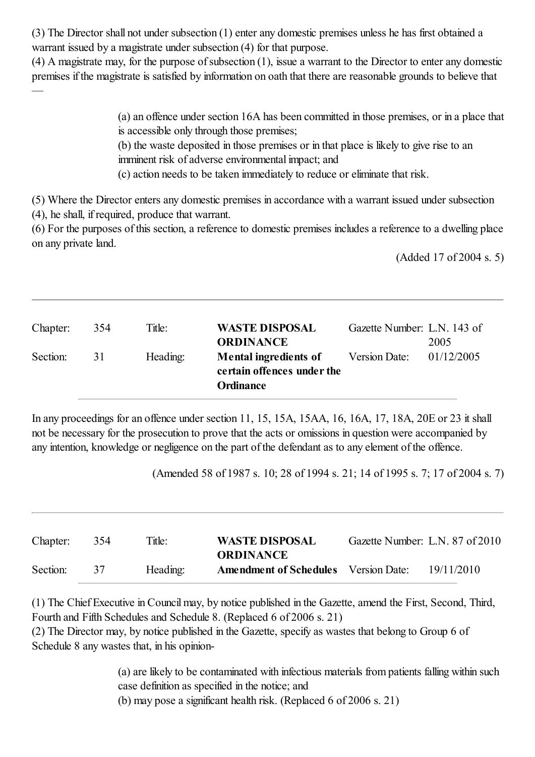(3) The Director shall not under subsection (1) enter any domestic premises unless he has first obtained a warrant issued by a magistrate under subsection (4) for that purpose.

 $(4)$  A magistrate may, for the purpose of subsection  $(1)$ , issue a warrant to the Director to enter any domestic premises if the magistrate is satisfied by information on oath that there are reasonable grounds to believe that —

> (a) an offence under section 16A has been committed in those premises, or in a place that is accessible only through those premises;

(b) the waste deposited in those premises or in that place is likely to give rise to an imminent risk of adverse environmental impact; and

(c) action needs to be taken immediately to reduce or eliminate that risk.

(5) Where the Director enters any domestic premises in accordance with a warrant issued under subsection (4), he shall, if required, produce that warrant.

(6) For the purposes of this section, a reference to domestic premises includes a reference to a dwelling place on any private land.

(Added 17 of 2004 s. 5)

| Chapter: | 354 | Title:   | <b>WASTE DISPOSAL</b><br><b>ORDINANCE</b>                                      | Gazette Number: L.N. 143 of | 2005       |
|----------|-----|----------|--------------------------------------------------------------------------------|-----------------------------|------------|
| Section: | 31  | Heading: | <b>Mental ingredients of</b><br>certain offences under the<br><b>Ordinance</b> | Version Date:               | 01/12/2005 |

In any proceedings for an offence under section 11, 15, 15A, 15AA, 16, 16A, 17, 18A, 20E or 23 it shall not be necessary for the prosecution to prove that the acts or omissions in question were accompanied by any intention, knowledge or negligence on the part of the defendant as to any element of the offence.

(Amended 58 of 1987 s. 10; 28 of 1994 s. 21; 14 of 1995 s. 7; 17 of 2004 s. 7)

| Chapter: | 354 | Title:   | <b>WASTE DISPOSAL</b><br><b>ORDINANCE</b>   | Gazette Number: L.N. 87 of 2010 |            |
|----------|-----|----------|---------------------------------------------|---------------------------------|------------|
| Section: | 37  | Heading: | <b>Amendment of Schedules</b> Version Date: |                                 | 19/11/2010 |

(1) The Chief Executive in Council may, by notice published in the Gazette, amend the First, Second, Third, Fourth and Fifth Schedules and Schedule 8. (Replaced 6 of 2006 s. 21)

(2) The Director may, by notice published in the Gazette, specify as wastes that belong to Group 6 of Schedule 8 any wastes that, in his opinion-

> (a) are likely to be contaminated with infectious materials from patients falling within such case definition as specified in the notice; and

(b) may pose a significant health risk. (Replaced 6 of 2006 s. 21)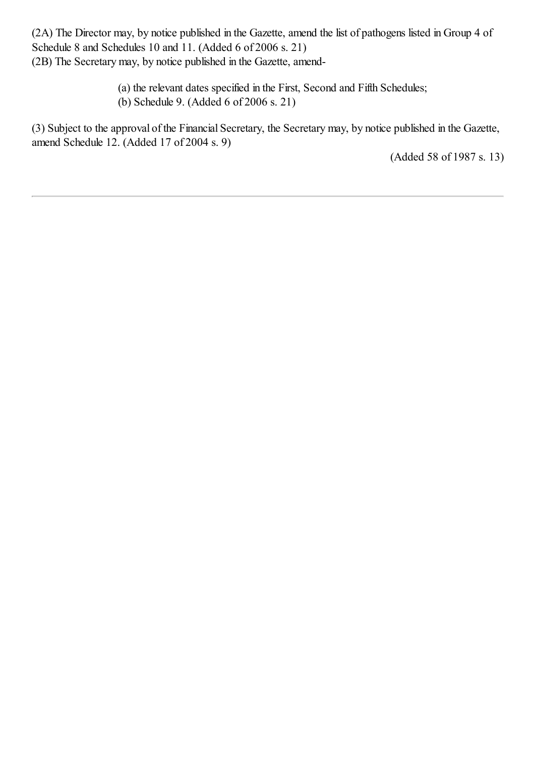(2A) The Director may, by notice published in the Gazette, amend the list of pathogens listed in Group 4 of Schedule 8 and Schedules 10 and 11. (Added 6 of 2006 s. 21) (2B) The Secretary may, by notice published in the Gazette, amend-

> (a) the relevant dates specified in the First, Second and Fifth Schedules; (b) Schedule 9. (Added 6 of 2006 s. 21)

(3) Subject to the approval of the Financial Secretary, the Secretary may, by notice published in the Gazette, amend Schedule 12. (Added 17 of 2004 s. 9)

(Added 58 of 1987 s. 13)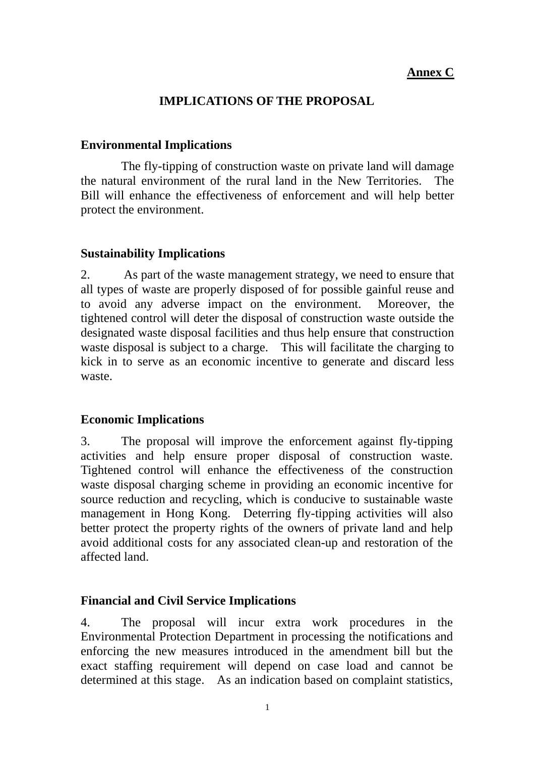## **Annex C**

# **IMPLICATIONS OF THE PROPOSAL**

### **Environmental Implications**

 The fly-tipping of construction waste on private land will damage the natural environment of the rural land in the New Territories. The Bill will enhance the effectiveness of enforcement and will help better protect the environment.

### **Sustainability Implications**

2. As part of the waste management strategy, we need to ensure that all types of waste are properly disposed of for possible gainful reuse and to avoid any adverse impact on the environment. Moreover, the tightened control will deter the disposal of construction waste outside the designated waste disposal facilities and thus help ensure that construction waste disposal is subject to a charge. This will facilitate the charging to kick in to serve as an economic incentive to generate and discard less waste.

### **Economic Implications**

3. The proposal will improve the enforcement against fly-tipping activities and help ensure proper disposal of construction waste. Tightened control will enhance the effectiveness of the construction waste disposal charging scheme in providing an economic incentive for source reduction and recycling, which is conducive to sustainable waste management in Hong Kong. Deterring fly-tipping activities will also better protect the property rights of the owners of private land and help avoid additional costs for any associated clean-up and restoration of the affected land.

### **Financial and Civil Service Implications**

4. The proposal will incur extra work procedures in the Environmental Protection Department in processing the notifications and enforcing the new measures introduced in the amendment bill but the exact staffing requirement will depend on case load and cannot be determined at this stage. As an indication based on complaint statistics,